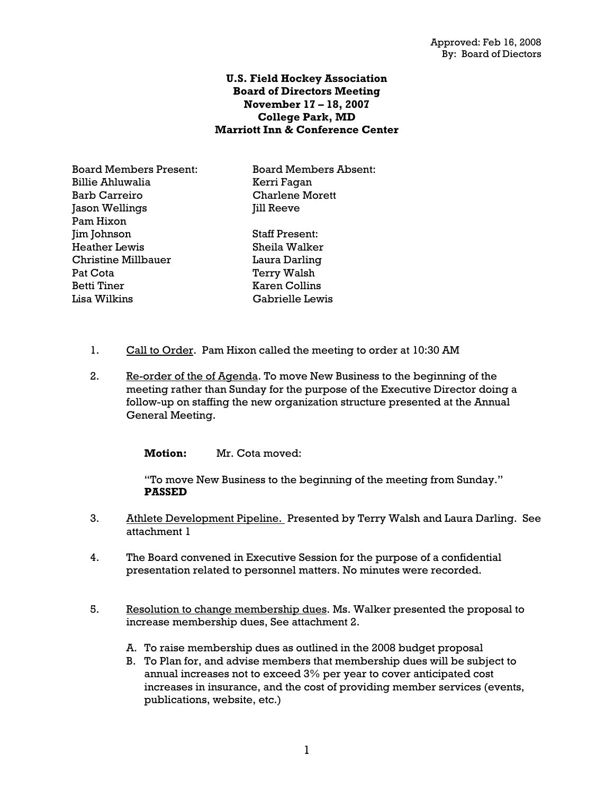# **U.S. Field Hockey Association Board of Directors Meeting November 17 – 18, 2007 College Park, MD Marriott Inn & Conference Center**

Board Members Present: Board Members Absent: Billie Ahluwalia Kerri Fagan Barb Carreiro Charlene Morett Jason Wellings **Jason Wellings** Jill Reeve Pam Hixon Jim Johnson Staff Present: Heather Lewis Sheila Walker Christine Millbauer Laura Darling Pat Cota **Terry Walsh** Betti Tiner Karen Collins Lisa Wilkins Gabrielle Lewis

- 1. Call to Order. Pam Hixon called the meeting to order at 10:30 AM
- 2. Re-order of the of Agenda. To move New Business to the beginning of the meeting rather than Sunday for the purpose of the Executive Director doing a follow-up on staffing the new organization structure presented at the Annual General Meeting.

**Motion:** Mr. Cota moved:

"To move New Business to the beginning of the meeting from Sunday." **PASSED** 

- 3. Athlete Development Pipeline. Presented by Terry Walsh and Laura Darling. See attachment 1
- 4. The Board convened in Executive Session for the purpose of a confidential presentation related to personnel matters. No minutes were recorded.
- 5. Resolution to change membership dues. Ms. Walker presented the proposal to increase membership dues, See attachment 2.
	- A. To raise membership dues as outlined in the 2008 budget proposal
	- B. To Plan for, and advise members that membership dues will be subject to annual increases not to exceed 3% per year to cover anticipated cost increases in insurance, and the cost of providing member services (events, publications, website, etc.)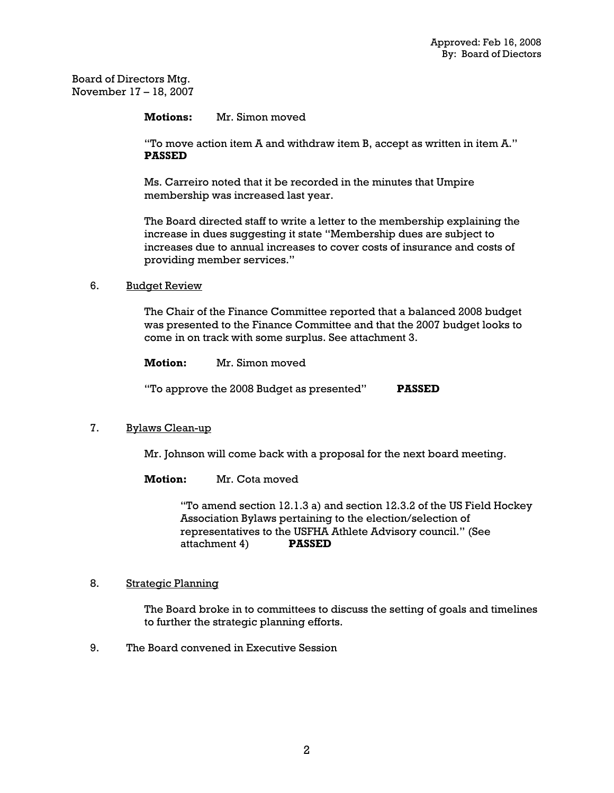Board of Directors Mtg. November 17 – 18, 2007

**Motions:** Mr. Simon moved

"To move action item A and withdraw item B, accept as written in item A." **PASSED**

Ms. Carreiro noted that it be recorded in the minutes that Umpire membership was increased last year.

The Board directed staff to write a letter to the membership explaining the increase in dues suggesting it state "Membership dues are subject to increases due to annual increases to cover costs of insurance and costs of providing member services."

## 6. Budget Review

The Chair of the Finance Committee reported that a balanced 2008 budget was presented to the Finance Committee and that the 2007 budget looks to come in on track with some surplus. See attachment 3.

**Motion:** Mr. Simon moved "To approve the 2008 Budget as presented" **PASSED**

### 7. Bylaws Clean-up

Mr. Johnson will come back with a proposal for the next board meeting.

**Motion:** Mr. Cota moved

"To amend section 12.1.3 a) and section 12.3.2 of the US Field Hockey Association Bylaws pertaining to the election/selection of representatives to the USFHA Athlete Advisory council." (See attachment 4) **PASSED**

### 8. Strategic Planning

The Board broke in to committees to discuss the setting of goals and timelines to further the strategic planning efforts.

9. The Board convened in Executive Session